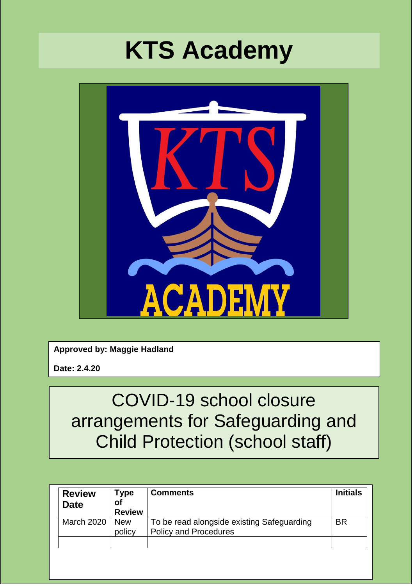# **KTS Academy**



**Approved by: Maggie Hadland**

**Date: 2.4.20**

# COVID-19 school closure arrangements for Safeguarding and Child Protection (school staff)

| <b>Review</b><br><b>Date</b> | Type<br>οf<br><b>Review</b> | <b>Comments</b>                                                            | <b>Initials</b> |
|------------------------------|-----------------------------|----------------------------------------------------------------------------|-----------------|
| <b>March 2020</b>            | <b>New</b><br>policy        | To be read alongside existing Safeguarding<br><b>Policy and Procedures</b> | <b>BR</b>       |
|                              |                             |                                                                            |                 |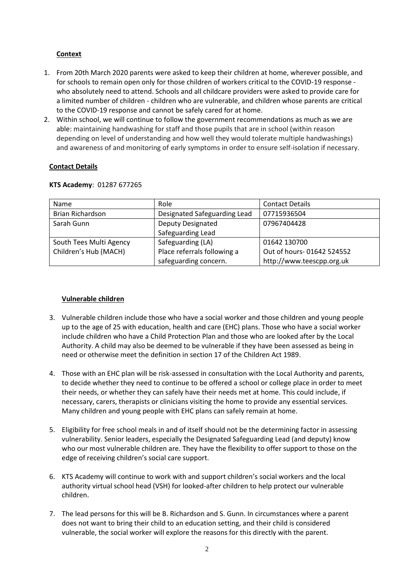# **Context**

- 1. From 20th March 2020 parents were asked to keep their children at home, wherever possible, and for schools to remain open only for those children of workers critical to the COVID-19 response who absolutely need to attend. Schools and all childcare providers were asked to provide care for a limited number of children - children who are vulnerable, and children whose parents are critical to the COVID-19 response and cannot be safely cared for at home.
- 2. Within school, we will continue to follow the government recommendations as much as we are able: maintaining handwashing for staff and those pupils that are in school (within reason depending on level of understanding and how well they would tolerate multiple handwashings) and awareness of and monitoring of early symptoms in order to ensure self-isolation if necessary.

# **Contact Details**

| Name                    | Role                         | <b>Contact Details</b>    |
|-------------------------|------------------------------|---------------------------|
| Brian Richardson        | Designated Safeguarding Lead | 07715936504               |
| Sarah Gunn              | <b>Deputy Designated</b>     | 07967404428               |
|                         | Safeguarding Lead            |                           |
| South Tees Multi Agency | Safeguarding (LA)            | 01642 130700              |
| Children's Hub (MACH)   | Place referrals following a  | Out of hours-01642 524552 |
|                         | safeguarding concern.        | http://www.teescpp.org.uk |

#### **KTS Academy**: 01287 677265

## **Vulnerable children**

- 3. Vulnerable children include those who have a social worker and those children and young people up to the age of 25 with education, health and care (EHC) plans. Those who have a social worker include children who have a Child Protection Plan and those who are looked after by the Local Authority. A child may also be deemed to be vulnerable if they have been assessed as being in need or otherwise meet the definition in section 17 of the Children Act 1989.
- 4. Those with an EHC plan will be risk-assessed in consultation with the Local Authority and parents, to decide whether they need to continue to be offered a school or college place in order to meet their needs, or whether they can safely have their needs met at home. This could include, if necessary, carers, therapists or clinicians visiting the home to provide any essential services. Many children and young people with EHC plans can safely remain at home.
- 5. Eligibility for free school meals in and of itself should not be the determining factor in assessing vulnerability. Senior leaders, especially the Designated Safeguarding Lead (and deputy) know who our most vulnerable children are. They have the flexibility to offer support to those on the edge of receiving children's social care support.
- 6. KTS Academy will continue to work with and support children's social workers and the local authority virtual school head (VSH) for looked-after children to help protect our vulnerable children.
- 7. The lead persons for this will be B. Richardson and S. Gunn. In circumstances where a parent does not want to bring their child to an education setting, and their child is considered vulnerable, the social worker will explore the reasons for this directly with the parent.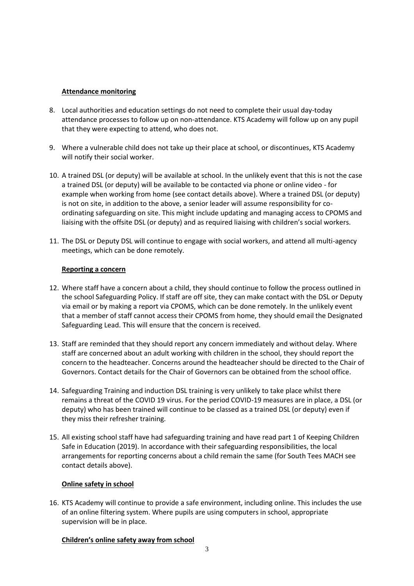#### **Attendance monitoring**

- 8. Local authorities and education settings do not need to complete their usual day-today attendance processes to follow up on non-attendance. KTS Academy will follow up on any pupil that they were expecting to attend, who does not.
- 9. Where a vulnerable child does not take up their place at school, or discontinues, KTS Academy will notify their social worker.
- 10. A trained DSL (or deputy) will be available at school. In the unlikely event that this is not the case a trained DSL (or deputy) will be available to be contacted via phone or online video - for example when working from home (see contact details above). Where a trained DSL (or deputy) is not on site, in addition to the above, a senior leader will assume responsibility for coordinating safeguarding on site. This might include updating and managing access to CPOMS and liaising with the offsite DSL (or deputy) and as required liaising with children's social workers.
- 11. The DSL or Deputy DSL will continue to engage with social workers, and attend all multi-agency meetings, which can be done remotely.

#### **Reporting a concern**

- 12. Where staff have a concern about a child, they should continue to follow the process outlined in the school Safeguarding Policy. If staff are off site, they can make contact with the DSL or Deputy via email or by making a report via CPOMS, which can be done remotely. In the unlikely event that a member of staff cannot access their CPOMS from home, they should email the Designated Safeguarding Lead. This will ensure that the concern is received.
- 13. Staff are reminded that they should report any concern immediately and without delay. Where staff are concerned about an adult working with children in the school, they should report the concern to the headteacher. Concerns around the headteacher should be directed to the Chair of Governors. Contact details for the Chair of Governors can be obtained from the school office.
- 14. Safeguarding Training and induction DSL training is very unlikely to take place whilst there remains a threat of the COVID 19 virus. For the period COVID-19 measures are in place, a DSL (or deputy) who has been trained will continue to be classed as a trained DSL (or deputy) even if they miss their refresher training.
- 15. All existing school staff have had safeguarding training and have read part 1 of Keeping Children Safe in Education (2019). In accordance with their safeguarding responsibilities, the local arrangements for reporting concerns about a child remain the same (for South Tees MACH see contact details above).

## **Online safety in school**

16. KTS Academy will continue to provide a safe environment, including online. This includes the use of an online filtering system. Where pupils are using computers in school, appropriate supervision will be in place.

#### **Children's online safety away from school**